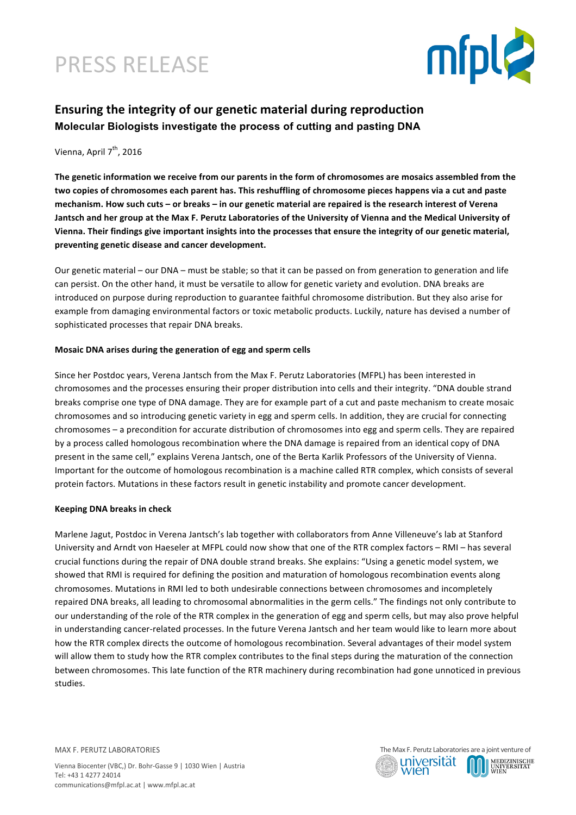# PRESS RELEASE



# **Ensuring the integrity of our genetic material during reproduction Molecular Biologists investigate the process of cutting and pasting DNA**

## Vienna, April 7<sup>th</sup>, 2016

The genetic information we receive from our parents in the form of chromosomes are mosaics assembled from the two copies of chromosomes each parent has. This reshuffling of chromosome pieces happens via a cut and paste mechanism. How such cuts – or breaks – in our genetic material are repaired is the research interest of Verena Jantsch and her group at the Max F. Perutz Laboratories of the University of Vienna and the Medical University of Vienna. Their findings give important insights into the processes that ensure the integrity of our genetic material, preventing genetic disease and cancer development.

Our genetic material – our DNA – must be stable; so that it can be passed on from generation to generation and life can persist. On the other hand, it must be versatile to allow for genetic variety and evolution. DNA breaks are introduced on purpose during reproduction to guarantee faithful chromosome distribution. But they also arise for example from damaging environmental factors or toxic metabolic products. Luckily, nature has devised a number of sophisticated processes that repair DNA breaks.

### **Mosaic DNA arises during the generation of egg and sperm cells**

Since her Postdoc years, Verena Jantsch from the Max F. Perutz Laboratories (MFPL) has been interested in chromosomes and the processes ensuring their proper distribution into cells and their integrity. "DNA double strand breaks comprise one type of DNA damage. They are for example part of a cut and paste mechanism to create mosaic chromosomes and so introducing genetic variety in egg and sperm cells. In addition, they are crucial for connecting chromosomes – a precondition for accurate distribution of chromosomes into egg and sperm cells. They are repaired by a process called homologous recombination where the DNA damage is repaired from an identical copy of DNA present in the same cell," explains Verena Jantsch, one of the Berta Karlik Professors of the University of Vienna. Important for the outcome of homologous recombination is a machine called RTR complex, which consists of several protein factors. Mutations in these factors result in genetic instability and promote cancer development.

## **Keeping DNA breaks in check**

Marlene Jagut, Postdoc in Verena Jantsch's lab together with collaborators from Anne Villeneuve's lab at Stanford University and Arndt von Haeseler at MFPL could now show that one of the RTR complex factors – RMI – has several crucial functions during the repair of DNA double strand breaks. She explains: "Using a genetic model system, we showed that RMI is required for defining the position and maturation of homologous recombination events along chromosomes. Mutations in RMI led to both undesirable connections between chromosomes and incompletely repaired DNA breaks, all leading to chromosomal abnormalities in the germ cells." The findings not only contribute to our understanding of the role of the RTR complex in the generation of egg and sperm cells, but may also prove helpful in understanding cancer-related processes. In the future Verena Jantsch and her team would like to learn more about how the RTR complex directs the outcome of homologous recombination. Several advantages of their model system will allow them to study how the RTR complex contributes to the final steps during the maturation of the connection between chromosomes. This late function of the RTR machinery during recombination had gone unnoticed in previous studies.

MAX F. PERUTZ LABORATORIES